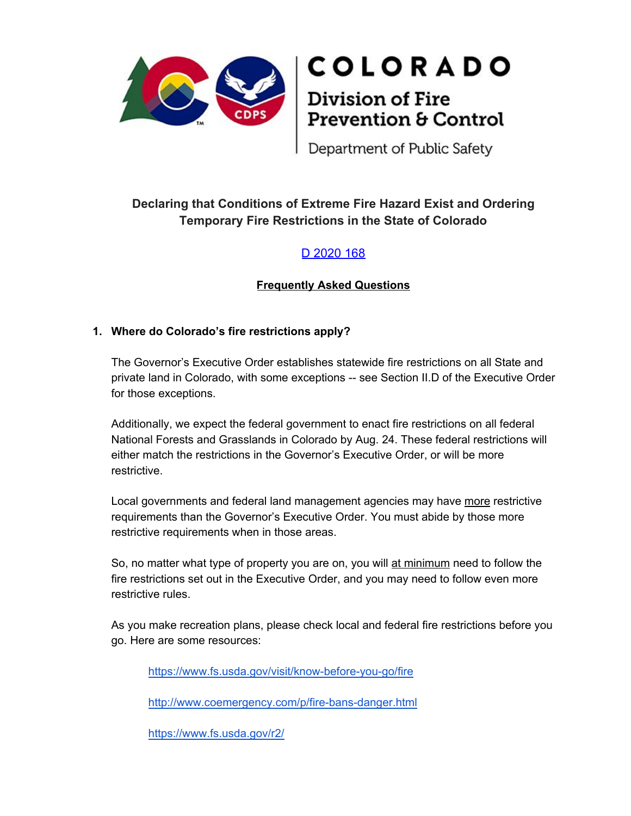

# **COLORADO**

# **Division of Fire** Prevention & Control

Department of Public Safety

### **Declaring that Conditions of Extreme Fire Hazard Exist and Ordering Temporary Fire Restrictions in the State of Colorado**

## [D 2020 168](https://www.colorado.gov/governor/sites/default/files/inline-files/D%202020%20168.pdf)

#### **Frequently Asked Questions**

#### **1. Where do Colorado's fire restrictions apply?**

The Governor's Executive Order establishes statewide fire restrictions on all State and private land in Colorado, with some exceptions -- see Section II.D of the Executive Order for those exceptions.

Additionally, we expect the federal government to enact fire restrictions on all federal National Forests and Grasslands in Colorado by Aug. 24. These federal restrictions will either match the restrictions in the Governor's Executive Order, or will be more restrictive.

Local governments and federal land management agencies may have more restrictive requirements than the Governor's Executive Order. You must abide by those more restrictive requirements when in those areas.

So, no matter what type of property you are on, you will at minimum need to follow the fire restrictions set out in the Executive Order, and you may need to follow even more restrictive rules.

As you make recreation plans, please check local and federal fire restrictions before you go. Here are some resources:

<https://www.fs.usda.gov/visit/know-before-you-go/fire>

<http://www.coemergency.com/p/fire-bans-danger.html>

https://www.fs.usda.gov/r2/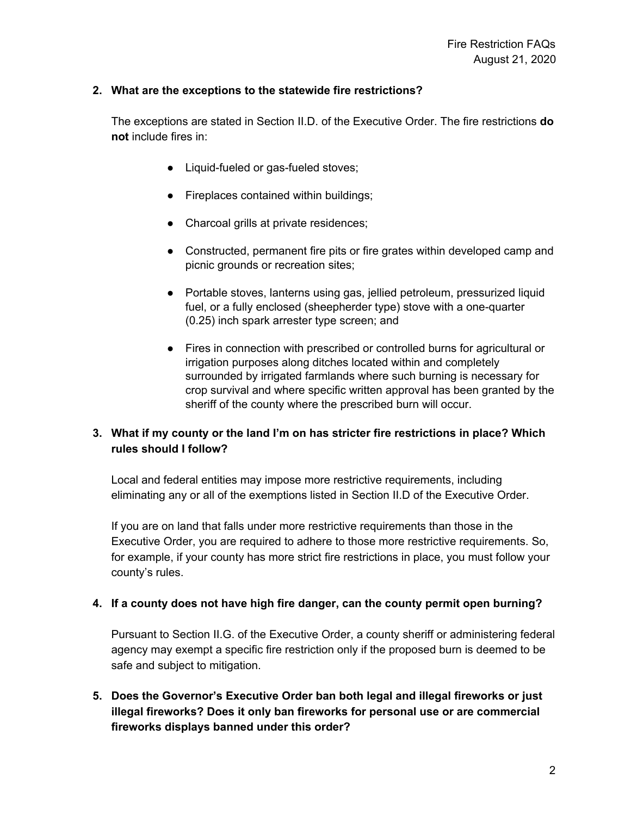#### **2. What are the exceptions to the statewide fire restrictions?**

The exceptions are stated in Section II.D. of the Executive Order. The fire restrictions **do not** include fires in:

- Liquid-fueled or gas-fueled stoves;
- Fireplaces contained within buildings;
- Charcoal grills at private residences;
- Constructed, permanent fire pits or fire grates within developed camp and picnic grounds or recreation sites;
- Portable stoves, lanterns using gas, jellied petroleum, pressurized liquid fuel, or a fully enclosed (sheepherder type) stove with a one-quarter (0.25) inch spark arrester type screen; and
- Fires in connection with prescribed or controlled burns for agricultural or irrigation purposes along ditches located within and completely surrounded by irrigated farmlands where such burning is necessary for crop survival and where specific written approval has been granted by the sheriff of the county where the prescribed burn will occur.

#### **3. What if my county or the land I'm on has stricter fire restrictions in place? Which rules should I follow?**

Local and federal entities may impose more restrictive requirements, including eliminating any or all of the exemptions listed in Section II.D of the Executive Order.

If you are on land that falls under more restrictive requirements than those in the Executive Order, you are required to adhere to those more restrictive requirements. So, for example, if your county has more strict fire restrictions in place, you must follow your county's rules.

#### **4. If a county does not have high fire danger, can the county permit open burning?**

Pursuant to Section II.G. of the Executive Order, a county sheriff or administering federal agency may exempt a specific fire restriction only if the proposed burn is deemed to be safe and subject to mitigation.

**5. Does the Governor's Executive Order ban both legal and illegal fireworks or just illegal fireworks? Does it only ban fireworks for personal use or are commercial fireworks displays banned under this order?**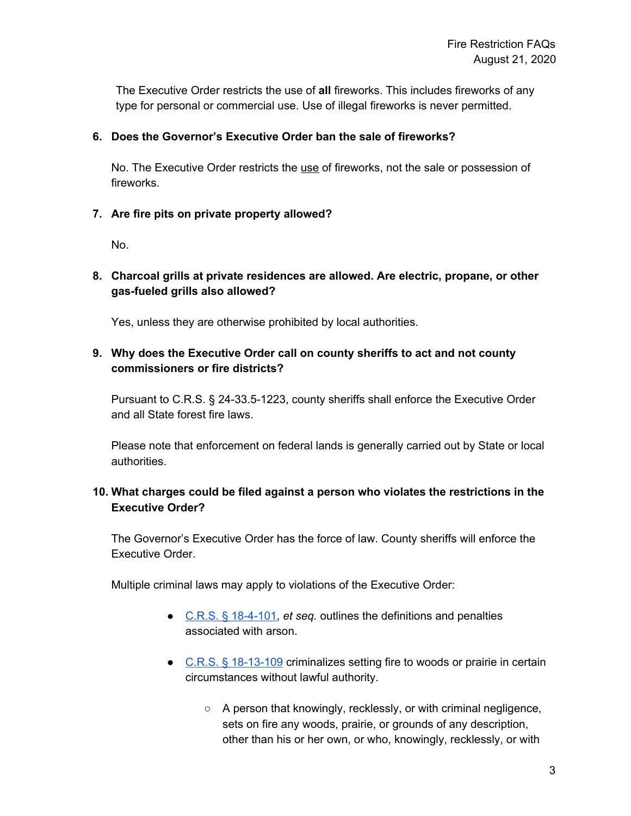The Executive Order restricts the use of **all** fireworks. This includes fireworks of any type for personal or commercial use. Use of illegal fireworks is never permitted.

#### **6. Does the Governor's Executive Order ban the sale of fireworks?**

No. The Executive Order restricts the use of fireworks, not the sale or possession of fireworks.

#### **7. Are fire pits on private property allowed?**

No.

#### **8. Charcoal grills at private residences are allowed. Are electric, propane, or other gas-fueled grills also allowed?**

Yes, unless they are otherwise prohibited by local authorities.

#### **9. Why does the Executive Order call on county sheriffs to act and not county commissioners or fire districts?**

Pursuant to C.R.S. § 24-33.5-1223, county sheriffs shall enforce the Executive Order and all State forest fire laws.

Please note that enforcement on federal lands is generally carried out by State or local authorities.

#### **10. What charges could be filed against a person who violates the restrictions in the Executive Order?**

The Governor's Executive Order has the force of law. County sheriffs will enforce the Executive Order.

Multiple criminal laws may apply to violations of the Executive Order:

- C.R.S. § [18-4-101](https://advance.lexis.com/documentpage/?pdmfid=1000516&crid=214c5c08-7546-4b64-bbdc-46519f2c4d39&config=014FJAAyNGJkY2Y4Zi1mNjgyLTRkN2YtYmE4OS03NTYzNzYzOTg0OGEKAFBvZENhdGFsb2d592qv2Kywlf8caKqYROP5&pddocfullpath=%2Fshared%2Fdocument%2Fstatutes-legislation%2Furn%3AcontentItem%3A5YWF-4WD1-FFMK-M4GB-00008-00&pdcontentcomponentid=234176&pdteaserkey=sr0&pditab=allpods&ecomp=d5w_kkk&earg=sr0&prid=50a2d7b1-6cd8-4190-ad3e-5a7bd7d561fb), *et seq.* outlines the definitions and penalties associated with arson.
- C.R.S. § [18-13-109](https://advance.lexis.com/documentpage/?pdmfid=1000516&crid=3de22802-9adc-4b85-bb7d-4dc1576a11ce&config=014FJAAyNGJkY2Y4Zi1mNjgyLTRkN2YtYmE4OS03NTYzNzYzOTg0OGEKAFBvZENhdGFsb2d592qv2Kywlf8caKqYROP5&pddocfullpath=%2Fshared%2Fdocument%2Fstatutes-legislation%2Furn%3AcontentItem%3A5YWF-4W81-FC1F-M1VP-00008-00&pdcontentcomponentid=234176&pdteaserkey=sr0&pditab=allpods&ecomp=d5w_kkk&earg=sr0&prid=097ca4aa-eb42-4dde-9ad9-86b71ed7ef4b) criminalizes setting fire to woods or prairie in certain circumstances without lawful authority.
	- A person that knowingly, recklessly, or with criminal negligence, sets on fire any woods, prairie, or grounds of any description, other than his or her own, or who, knowingly, recklessly, or with